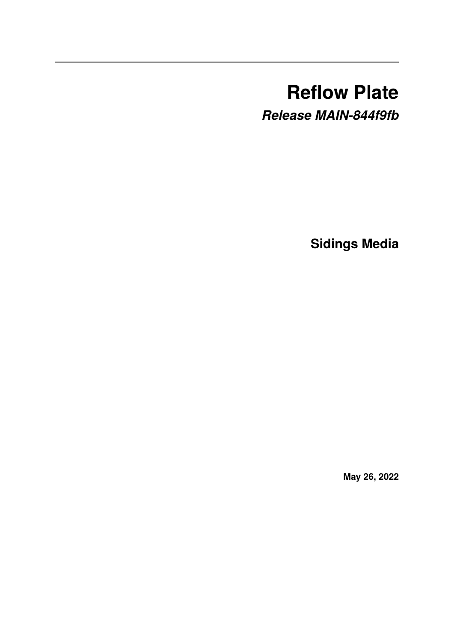# **Reflow Plate**

<span id="page-0-0"></span>*Release MAIN-844f9fb*

**Sidings Media**

**May 26, 2022**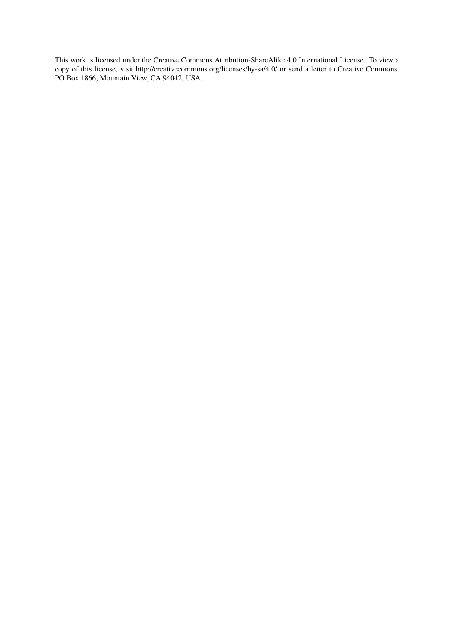This work is licensed under the Creative Commons Attribution-ShareAlike 4.0 International License. To view a copy of this license, visit http://creativecommons.org/licenses/by-sa/4.0/ or send a letter to Creative Commons, PO Box 1866, Mountain View, CA 94042, USA.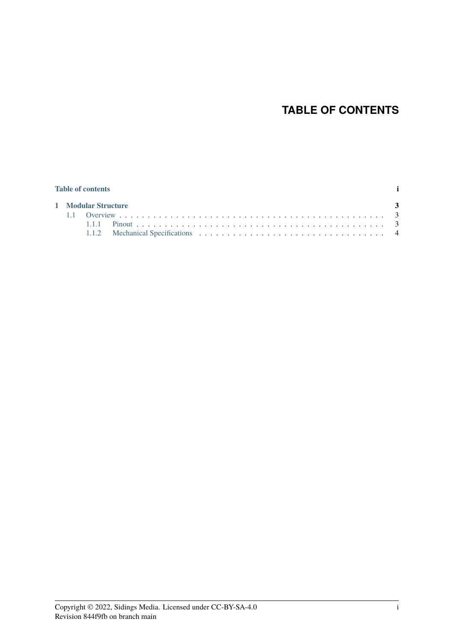## **TABLE OF CONTENTS**

<span id="page-2-0"></span>

| <b>Table of contents</b>                       |  |  |  |  |
|------------------------------------------------|--|--|--|--|
| 1 Modular Structure<br>$\overline{\mathbf{3}}$ |  |  |  |  |
|                                                |  |  |  |  |
|                                                |  |  |  |  |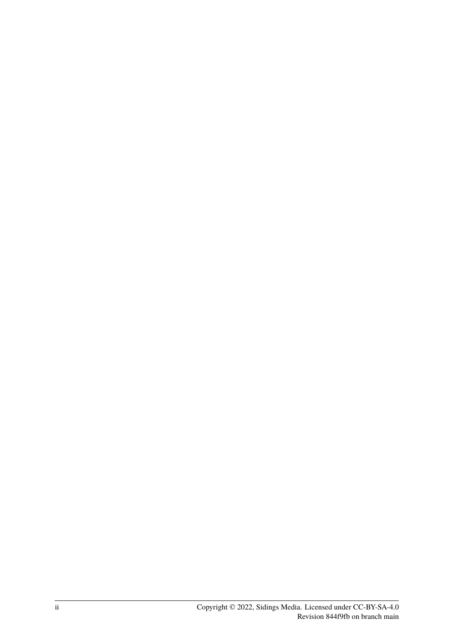#### ii Copyright © 2022, Sidings Media. Licensed under CC-BY-SA-4.0 Revision 844f9fb on branch main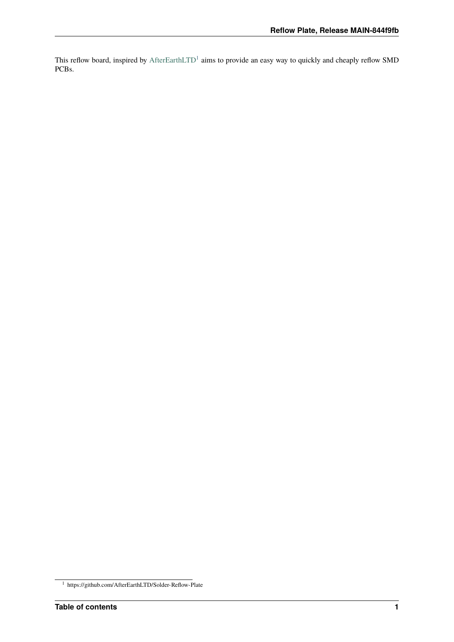This reflow board, inspired by  $AfterEarthLTD<sup>1</sup>$  $AfterEarthLTD<sup>1</sup>$  $AfterEarthLTD<sup>1</sup>$  $AfterEarthLTD<sup>1</sup>$  aims to provide an easy way to quickly and cheaply reflow SMD PCBs.

<sup>1</sup> https://github.com/AfterEarthLTD/Solder-Reflow-Plate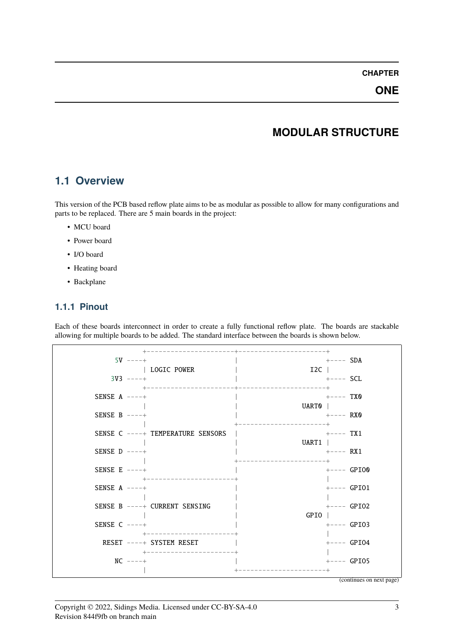## **CHAPTER**

## **ONE**

## **MODULAR STRUCTURE**

#### <span id="page-6-1"></span><span id="page-6-0"></span>**1.1 Overview**

This version of the PCB based reflow plate aims to be as modular as possible to allow for many configurations and parts to be replaced. There are 5 main boards in the project:

- MCU board
- Power board
- I/O board
- Heating board
- Backplane

#### <span id="page-6-2"></span>**1.1.1 Pinout**

Each of these boards interconnect in order to create a fully functional reflow plate. The boards are stackable allowing for multiple boards to be added. The standard interface between the boards is shown below.

| ---------                                |                                 |
|------------------------------------------|---------------------------------|
| $5V$ ----+                               | $+---SDA$                       |
| LOGIC POWER<br>$3V3$ ----+               | $12C$  <br>$+-----$ SCL         |
| SENSE $A$ ----+                          | $+-----$ TX0<br><b>UART0</b>    |
| SENSE B $---+$                           | $+ - - -$ RX0                   |
| SENSE C ----+ TEMPERATURE SENSORS        | $+-----TX1$<br>UART1            |
| SENSE $D$ ----+                          | $+--- RX1$                      |
| SENSE $E$ ----+                          | ------------+<br>$+-----$ GPIO0 |
| --------------------<br>SENSE $A$ ----+  | $+-----$ GPI01                  |
| SENSE B ----+ CURRENT SENSING            | $+---$ GPIO2<br>GPI0            |
| SENSE $C$ ----+                          | $+---$ GPI03                    |
| +-----------<br>RESET ----+ SYSTEM RESET | $+-----$ GPI04                  |
| $NC$ ----+                               | $+---$ GPI05                    |
|                                          | (continues on next page)        |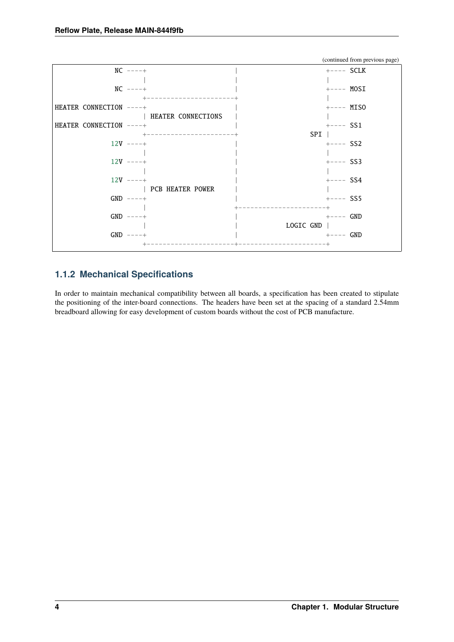

#### <span id="page-7-0"></span>**1.1.2 Mechanical Specifications**

In order to maintain mechanical compatibility between all boards, a specification has been created to stipulate the positioning of the inter-board connections. The headers have been set at the spacing of a standard 2.54mm breadboard allowing for easy development of custom boards without the cost of PCB manufacture.